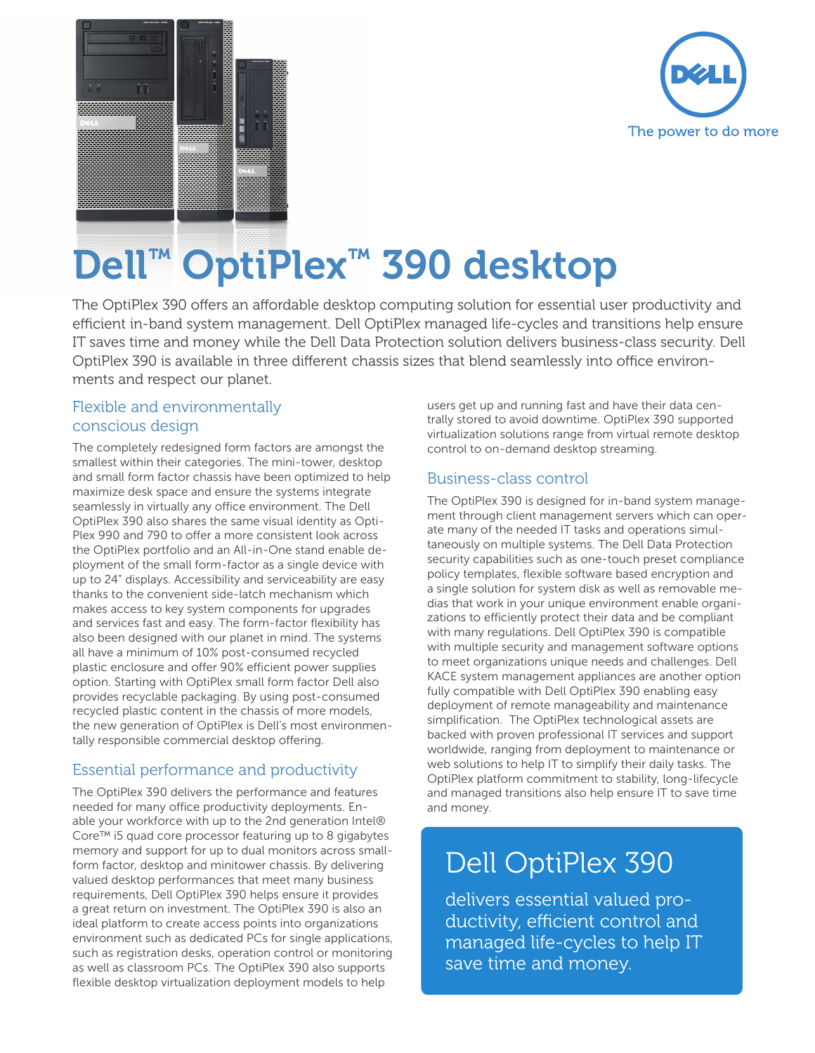



# **Dell™ OptiPlex™ 390 desktop**

The OptiPlex 390 offers an affordable desktop computing solution for essential user productivity and efficient in-band system management. Dell OptiPlex managed life-cycles and transitions help ensure IT saves time and money while the Dell Data Protection solution delivers business-class security. Dell OptiPlex 390 is available in three different chassis sizes that blend seamlessly into office environments and respect our planet.

#### Flexible and environmentally conscious design

The completely redesigned form factors are amongst the smallest within their categories. The mini-tower, desktop and small form factor chassis have been optimized to help maximize desk space and ensure the systems integrate seamlessly in virtually any office environment. The Dell OptiPlex 390 also shares the same visual identity as Opti-Plex 990 and 790 to offer a more consistent look across the OptiPlex portfolio and an All-in-One stand enable deployment of the small form-factor as a single device with up to 24" displays. Accessibility and serviceability are easy thanks to the convenient side-latch mechanism which makes access to key system components for upgrades and services fast and easy. The form-factor flexibility has also been designed with our planet in mind. The systems all have a minimum of 10% post-consumed recycled plastic enclosure and offer 90% efficient power supplies option. Starting with OptiPlex small form factor Dell also provides recyclable packaging. By using post-consumed recycled plastic content in the chassis of more models, the new generation of OptiPlex is Dell's most environmentally responsible commercial desktop offering.

#### Essential performance and productivity

The OptiPlex 390 delivers the performance and features needed for many office productivity deployments. Enable your workforce with up to the 2nd generation Intel® Core™ i5 quad core processor featuring up to 8 gigabytes memory and support for up to dual monitors across smallform factor, desktop and minitower chassis. By delivering valued desktop performances that meet many business requirements, Dell OptiPlex 390 helps ensure it provides a great return on investment. The OptiPlex 390 is also an ideal platform to create access points into organizations environment such as dedicated PCs for single applications, such as registration desks, operation control or monitoring as well as classroom PCs. The OptiPlex 390 also supports flexible desktop virtualization deployment models to help

users get up and running fast and have their data centrally stored to avoid downtime. OptiPlex 390 supported virtualization solutions range from virtual remote desktop control to on-demand desktop streaming.

#### Business-class control

The OptiPlex 390 is designed for in-band system management through client management servers which can operate many of the needed IT tasks and operations simultaneously on multiple systems. The Dell Data Protection security capabilities such as one-touch preset compliance policy templates, flexible software based encryption and a single solution for system disk as well as removable medias that work in your unique environment enable organizations to efficiently protect their data and be compliant with many regulations. Dell OptiPlex 390 is compatible with multiple security and management software options to meet organizations unique needs and challenges. Dell KACE system management appliances are another option fully compatible with Dell OptiPlex 390 enabling easy deployment of remote manageability and maintenance simplification. The OptiPlex technological assets are backed with proven professional IT services and support worldwide, ranging from deployment to maintenance or web solutions to help IT to simplify their daily tasks. The OptiPlex platform commitment to stability, long-lifecycle and managed transitions also help ensure IT to save time and money.

## Dell OptiPlex 390

delivers essential valued productivity, efficient control and managed life-cycles to help IT save time and money.